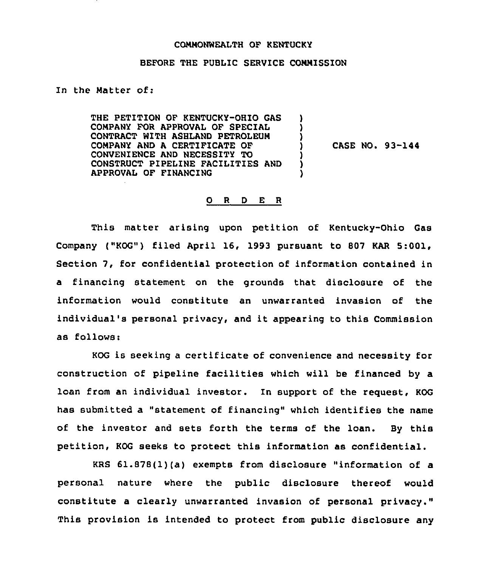## COMMONWEALTH OF KENTUCKY

## BEFORE THE PUBLIC SERVICE COMMISSION

In the Matter of:

THE PETITION OF KENTUCKY-OHIO GAS COMPANY FOR APPROVAL OF SPECIAL CONTRACT WITH ASHLAND PETROLEUM COMPANY AND A CERTIFICATE OF CONVENIENCE AND NECESSITY TO CONSTRUCT PIPELINE FACILITIES AND APPROVAL OF FINANCING ) ) ) ) ) )

) CASE NO. 93-144

## 0 <sup>R</sup> <sup>D</sup> E <sup>R</sup>

This matter arising upon petition of Kentucky-Ohio Gas Company ("KOG") filed April 16, 1993 pursuant to 807 KAR 5:001, Section 7, for confidential protection of information contained in a financing statement on the grounds that disclosure of the information would constitute an unwarranted invasion of the individual's personal privacy, and it appearing to this Commission as follows:

KOG is seeking <sup>a</sup> certificate of convenience and necessity for construction of pipeline facilities which will be financed by a loan from an individual investor. In support of the request, KOG has submitted a "statement of financing" which identifies the name of the investor and sets forth the terms of the loan. By this petition, KOG seeks to protect this information as confidential.

KRS 61.878(l)(a) exempts from disclosure "information of a personal nature where the public disclosure thereof would constitute a clearly unwarranted invasion of personal privacy." This provision is intended to protect from public disclosure any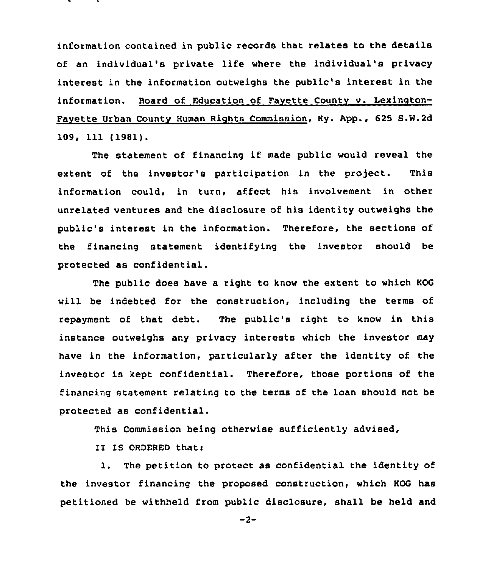information contained in public records that relates to the details of an individual's private life where the individual's privacy interest in the information outweighs the public's interest in the information. Board of Education of Fayette County v. Lexington-Fayette Urban Countv Human Rights Commission, Ky. App., 625 S.W.2d 109, 111 (1981).

The statement of financing if made public would reveal the extent of the investor's participation in the project. This information could, in turn, affect his involvement in other unrelated ventures and the disclosure of his identity outweighs the public's interest in the information. Therefore, the sections of the financing statement identifying the investor should be protected as confidential.

The public does have a right to know the extent to which KOG will be indebted for the construction, including the terms of repayment of that debt. The public's right to know in this instance outweighs any privacy interests which the investor may have in the information, particularly after the identity of the investor is kept confidential. Therefore, those portions of the financing statement relating to the terms of the loan should not be protected as confidential.

This Commission being otherwise sufficiently advised,

IT IS ORDERED that:

1. The petition to protect as confidential the identity of the investor financing the proposed construction, which KOG has petitioned be withheld from public disclosure, shall be held and

 $-2-$